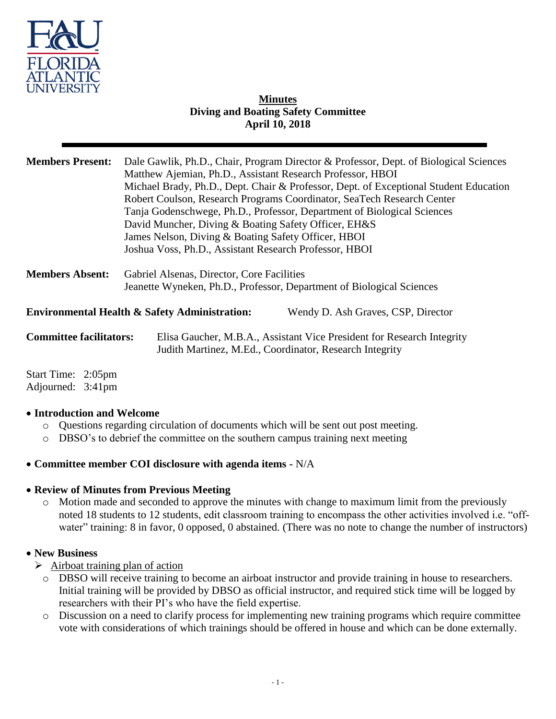

# **Minutes Diving and Boating Safety Committee April 10, 2018**

| <b>Members Present:</b>        | Dale Gawlik, Ph.D., Chair, Program Director & Professor, Dept. of Biological Sciences<br>Matthew Ajemian, Ph.D., Assistant Research Professor, HBOI<br>Michael Brady, Ph.D., Dept. Chair & Professor, Dept. of Exceptional Student Education<br>Robert Coulson, Research Programs Coordinator, SeaTech Research Center<br>Tanja Godenschwege, Ph.D., Professor, Department of Biological Sciences<br>David Muncher, Diving & Boating Safety Officer, EH&S<br>James Nelson, Diving & Boating Safety Officer, HBOI<br>Joshua Voss, Ph.D., Assistant Research Professor, HBOI |                                    |
|--------------------------------|----------------------------------------------------------------------------------------------------------------------------------------------------------------------------------------------------------------------------------------------------------------------------------------------------------------------------------------------------------------------------------------------------------------------------------------------------------------------------------------------------------------------------------------------------------------------------|------------------------------------|
| <b>Members Absent:</b>         | Gabriel Alsenas, Director, Core Facilities<br>Jeanette Wyneken, Ph.D., Professor, Department of Biological Sciences                                                                                                                                                                                                                                                                                                                                                                                                                                                        |                                    |
|                                | <b>Environmental Health &amp; Safety Administration:</b>                                                                                                                                                                                                                                                                                                                                                                                                                                                                                                                   | Wendy D. Ash Graves, CSP, Director |
| <b>Committee facilitators:</b> | Elisa Gaucher, M.B.A., Assistant Vice President for Research Integrity<br>Judith Martinez, M.Ed., Coordinator, Research Integrity                                                                                                                                                                                                                                                                                                                                                                                                                                          |                                    |

Start Time: 2:05pm Adjourned: 3:41pm

# **Introduction and Welcome**

- o Questions regarding circulation of documents which will be sent out post meeting.
- o DBSO's to debrief the committee on the southern campus training next meeting

# **Committee member COI disclosure with agenda items -** N/A

#### **Review of Minutes from Previous Meeting**

o Motion made and seconded to approve the minutes with change to maximum limit from the previously noted 18 students to 12 students, edit classroom training to encompass the other activities involved i.e. "offwater" training: 8 in favor, 0 opposed, 0 abstained. (There was no note to change the number of instructors)

# **New Business**

- $\triangleright$  Airboat training plan of action
	- o DBSO will receive training to become an airboat instructor and provide training in house to researchers. Initial training will be provided by DBSO as official instructor, and required stick time will be logged by researchers with their PI's who have the field expertise.
	- o Discussion on a need to clarify process for implementing new training programs which require committee vote with considerations of which trainings should be offered in house and which can be done externally.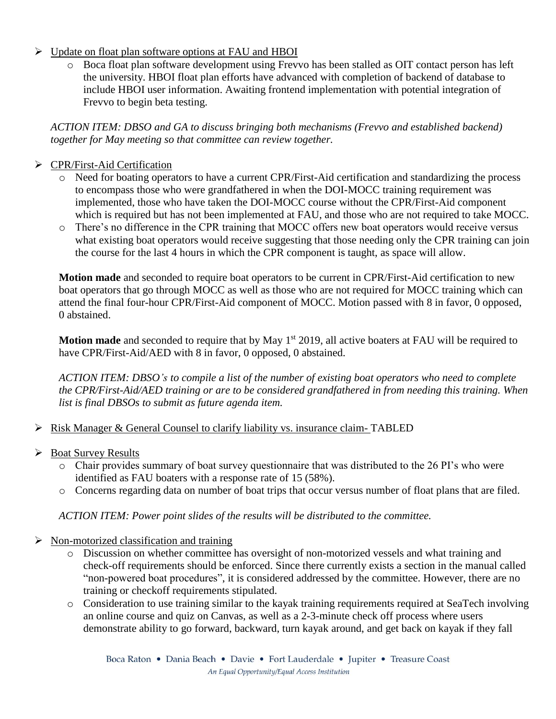# $\triangleright$  Update on float plan software options at FAU and HBOI

o Boca float plan software development using Frevvo has been stalled as OIT contact person has left the university. HBOI float plan efforts have advanced with completion of backend of database to include HBOI user information. Awaiting frontend implementation with potential integration of Frevvo to begin beta testing.

*ACTION ITEM: DBSO and GA to discuss bringing both mechanisms (Frevvo and established backend) together for May meeting so that committee can review together.* 

# > CPR/First-Aid Certification

- o Need for boating operators to have a current CPR/First-Aid certification and standardizing the process to encompass those who were grandfathered in when the DOI-MOCC training requirement was implemented, those who have taken the DOI-MOCC course without the CPR/First-Aid component which is required but has not been implemented at FAU, and those who are not required to take MOCC.
- o There's no difference in the CPR training that MOCC offers new boat operators would receive versus what existing boat operators would receive suggesting that those needing only the CPR training can join the course for the last 4 hours in which the CPR component is taught, as space will allow.

**Motion made** and seconded to require boat operators to be current in CPR/First-Aid certification to new boat operators that go through MOCC as well as those who are not required for MOCC training which can attend the final four-hour CPR/First-Aid component of MOCC. Motion passed with 8 in favor, 0 opposed, 0 abstained.

**Motion made** and seconded to require that by May 1<sup>st</sup> 2019, all active boaters at FAU will be required to have CPR/First-Aid/AED with 8 in favor, 0 opposed, 0 abstained.

*ACTION ITEM: DBSO's to compile a list of the number of existing boat operators who need to complete the CPR/First-Aid/AED training or are to be considered grandfathered in from needing this training. When list is final DBSOs to submit as future agenda item.* 

- $\triangleright$  Risk Manager & General Counsel to clarify liability vs. insurance claim-TABLED
- $\triangleright$  Boat Survey Results
	- o Chair provides summary of boat survey questionnaire that was distributed to the 26 PI's who were identified as FAU boaters with a response rate of 15 (58%).
	- o Concerns regarding data on number of boat trips that occur versus number of float plans that are filed.

*ACTION ITEM: Power point slides of the results will be distributed to the committee.* 

- $\triangleright$  Non-motorized classification and training
	- o Discussion on whether committee has oversight of non-motorized vessels and what training and check-off requirements should be enforced. Since there currently exists a section in the manual called "non-powered boat procedures", it is considered addressed by the committee. However, there are no training or checkoff requirements stipulated.
	- o Consideration to use training similar to the kayak training requirements required at SeaTech involving an online course and quiz on Canvas, as well as a 2-3-minute check off process where users demonstrate ability to go forward, backward, turn kayak around, and get back on kayak if they fall